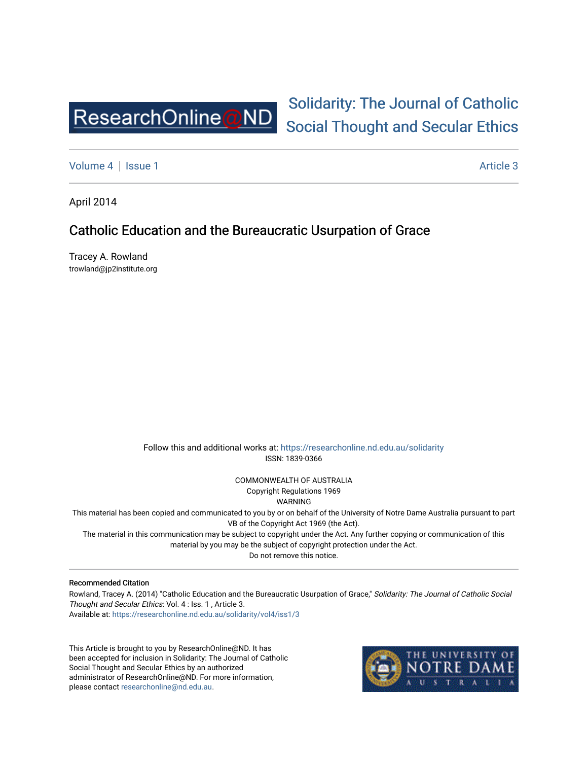

## [Solidarity: The Journal of Catholic](https://researchonline.nd.edu.au/solidarity)  [Social Thought and Secular Ethics](https://researchonline.nd.edu.au/solidarity)

[Volume 4](https://researchonline.nd.edu.au/solidarity/vol4) | [Issue 1](https://researchonline.nd.edu.au/solidarity/vol4/iss1) Article 3

April 2014

## Catholic Education and the Bureaucratic Usurpation of Grace

Tracey A. Rowland trowland@jp2institute.org

> Follow this and additional works at: [https://researchonline.nd.edu.au/solidarity](https://researchonline.nd.edu.au/solidarity?utm_source=researchonline.nd.edu.au%2Fsolidarity%2Fvol4%2Fiss1%2F3&utm_medium=PDF&utm_campaign=PDFCoverPages)  ISSN: 1839-0366

> > COMMONWEALTH OF AUSTRALIA Copyright Regulations 1969

WARNING

This material has been copied and communicated to you by or on behalf of the University of Notre Dame Australia pursuant to part VB of the Copyright Act 1969 (the Act).

The material in this communication may be subject to copyright under the Act. Any further copying or communication of this material by you may be the subject of copyright protection under the Act.

Do not remove this notice.

## Recommended Citation

Rowland, Tracey A. (2014) "Catholic Education and the Bureaucratic Usurpation of Grace," Solidarity: The Journal of Catholic Social Thought and Secular Ethics: Vol. 4 : Iss. 1 , Article 3. Available at: [https://researchonline.nd.edu.au/solidarity/vol4/iss1/3](https://researchonline.nd.edu.au/solidarity/vol4/iss1/3?utm_source=researchonline.nd.edu.au%2Fsolidarity%2Fvol4%2Fiss1%2F3&utm_medium=PDF&utm_campaign=PDFCoverPages) 

This Article is brought to you by ResearchOnline@ND. It has been accepted for inclusion in Solidarity: The Journal of Catholic Social Thought and Secular Ethics by an authorized administrator of ResearchOnline@ND. For more information, please contact [researchonline@nd.edu.au.](mailto:researchonline@nd.edu.au)

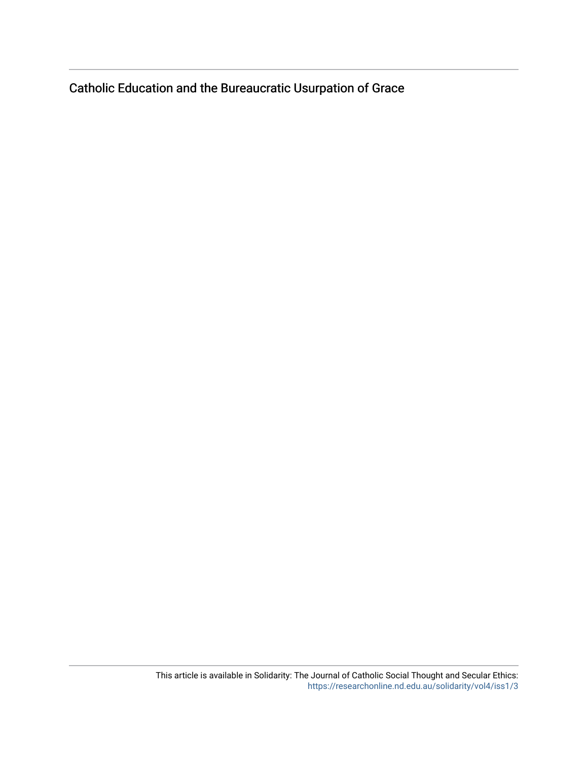Catholic Education and the Bureaucratic Usurpation of Grace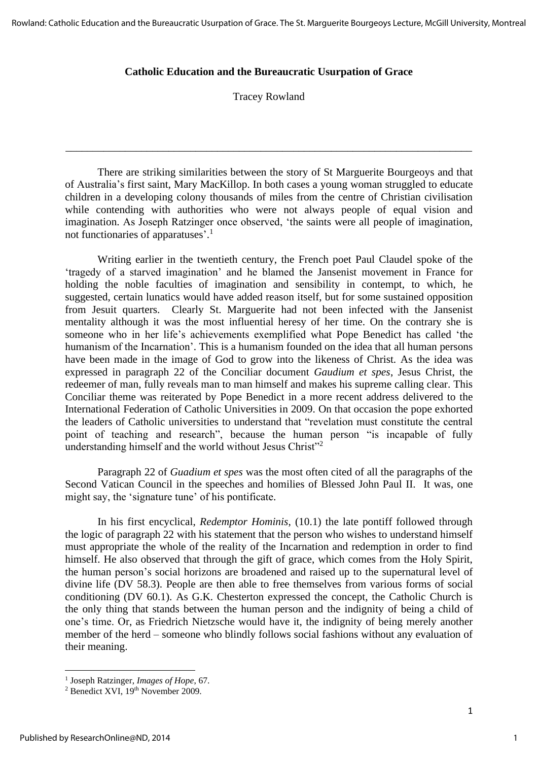## **Catholic Education and the Bureaucratic Usurpation of Grace**

Tracey Rowland

\_\_\_\_\_\_\_\_\_\_\_\_\_\_\_\_\_\_\_\_\_\_\_\_\_\_\_\_\_\_\_\_\_\_\_\_\_\_\_\_\_\_\_\_\_\_\_\_\_\_\_\_\_\_\_\_\_\_\_\_\_\_\_\_\_\_\_\_\_\_\_\_\_\_\_

There are striking similarities between the story of St Marguerite Bourgeoys and that of Australia's first saint, Mary MacKillop. In both cases a young woman struggled to educate children in a developing colony thousands of miles from the centre of Christian civilisation while contending with authorities who were not always people of equal vision and imagination. As Joseph Ratzinger once observed, 'the saints were all people of imagination, not functionaries of apparatuses'. 1

Writing earlier in the twentieth century, the French poet Paul Claudel spoke of the 'tragedy of a starved imagination' and he blamed the Jansenist movement in France for holding the noble faculties of imagination and sensibility in contempt, to which, he suggested, certain lunatics would have added reason itself, but for some sustained opposition from Jesuit quarters. Clearly St. Marguerite had not been infected with the Jansenist mentality although it was the most influential heresy of her time. On the contrary she is someone who in her life's achievements exemplified what Pope Benedict has called 'the humanism of the Incarnation'. This is a humanism founded on the idea that all human persons have been made in the image of God to grow into the likeness of Christ. As the idea was expressed in paragraph 22 of the Conciliar document *Gaudium et spes*, Jesus Christ, the redeemer of man, fully reveals man to man himself and makes his supreme calling clear. This Conciliar theme was reiterated by Pope Benedict in a more recent address delivered to the International Federation of Catholic Universities in 2009. On that occasion the pope exhorted the leaders of Catholic universities to understand that "revelation must constitute the central point of teaching and research", because the human person "is incapable of fully understanding himself and the world without Jesus Christ"<sup>2</sup>

Paragraph 22 of *Guadium et spes* was the most often cited of all the paragraphs of the Second Vatican Council in the speeches and homilies of Blessed John Paul II. It was, one might say, the 'signature tune' of his pontificate.

In his first encyclical, *Redemptor Hominis*, (10.1) the late pontiff followed through the logic of paragraph 22 with his statement that the person who wishes to understand himself must appropriate the whole of the reality of the Incarnation and redemption in order to find himself. He also observed that through the gift of grace, which comes from the Holy Spirit, the human person's social horizons are broadened and raised up to the supernatural level of divine life (DV 58.3). People are then able to free themselves from various forms of social conditioning (DV 60.1). As G.K. Chesterton expressed the concept, the Catholic Church is the only thing that stands between the human person and the indignity of being a child of one's time. Or, as Friedrich Nietzsche would have it, the indignity of being merely another member of the herd – someone who blindly follows social fashions without any evaluation of their meaning.

<sup>1</sup> Joseph Ratzinger, *Images of Hope*, 67.

<sup>&</sup>lt;sup>2</sup> Benedict XVI, 19<sup>th</sup> November 2009.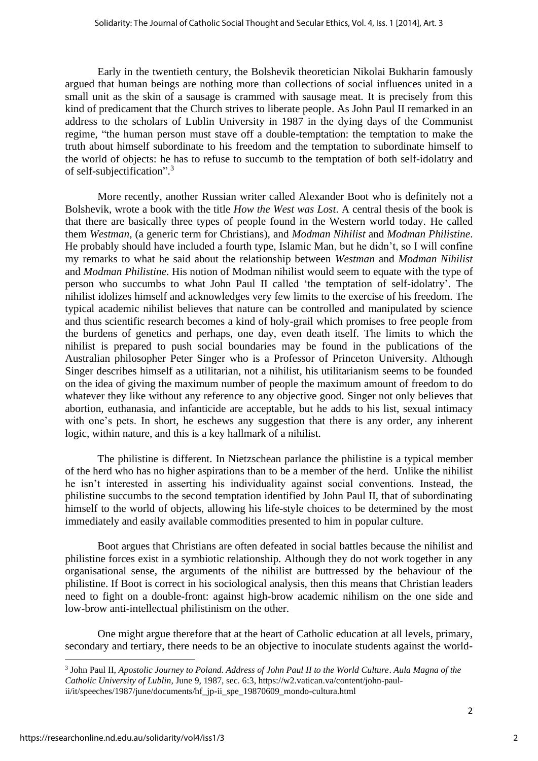Early in the twentieth century, the Bolshevik theoretician Nikolai Bukharin famously argued that human beings are nothing more than collections of social influences united in a small unit as the skin of a sausage is crammed with sausage meat. It is precisely from this kind of predicament that the Church strives to liberate people. As John Paul II remarked in an address to the scholars of Lublin University in 1987 in the dying days of the Communist regime, "the human person must stave off a double-temptation: the temptation to make the truth about himself subordinate to his freedom and the temptation to subordinate himself to the world of objects: he has to refuse to succumb to the temptation of both self-idolatry and of self-subjectification". 3

More recently, another Russian writer called Alexander Boot who is definitely not a Bolshevik, wrote a book with the title *How the West was Lost*. A central thesis of the book is that there are basically three types of people found in the Western world today. He called them *Westman*, (a generic term for Christians), and *Modman Nihilist* and *Modman Philistine*. He probably should have included a fourth type, Islamic Man, but he didn't, so I will confine my remarks to what he said about the relationship between *Westman* and *Modman Nihilist* and *Modman Philistine*. His notion of Modman nihilist would seem to equate with the type of person who succumbs to what John Paul II called 'the temptation of self-idolatry'. The nihilist idolizes himself and acknowledges very few limits to the exercise of his freedom. The typical academic nihilist believes that nature can be controlled and manipulated by science and thus scientific research becomes a kind of holy-grail which promises to free people from the burdens of genetics and perhaps, one day, even death itself. The limits to which the nihilist is prepared to push social boundaries may be found in the publications of the Australian philosopher Peter Singer who is a Professor of Princeton University. Although Singer describes himself as a utilitarian, not a nihilist, his utilitarianism seems to be founded on the idea of giving the maximum number of people the maximum amount of freedom to do whatever they like without any reference to any objective good. Singer not only believes that abortion, euthanasia, and infanticide are acceptable, but he adds to his list, sexual intimacy with one's pets. In short, he eschews any suggestion that there is any order, any inherent logic, within nature, and this is a key hallmark of a nihilist.

The philistine is different. In Nietzschean parlance the philistine is a typical member of the herd who has no higher aspirations than to be a member of the herd. Unlike the nihilist he isn't interested in asserting his individuality against social conventions. Instead, the philistine succumbs to the second temptation identified by John Paul II, that of subordinating himself to the world of objects, allowing his life-style choices to be determined by the most immediately and easily available commodities presented to him in popular culture.

Boot argues that Christians are often defeated in social battles because the nihilist and philistine forces exist in a symbiotic relationship. Although they do not work together in any organisational sense, the arguments of the nihilist are buttressed by the behaviour of the philistine. If Boot is correct in his sociological analysis, then this means that Christian leaders need to fight on a double-front: against high-brow academic nihilism on the one side and low-brow anti-intellectual philistinism on the other.

One might argue therefore that at the heart of Catholic education at all levels, primary, secondary and tertiary, there needs to be an objective to inoculate students against the world-

2

<sup>3</sup> John Paul II, *Apostolic Journey to Poland. Address of John Paul II to the World Culture*. *Aula Magna of the Catholic University of Lublin*, June 9, 1987, sec. 6:3, https://w2.vatican.va/content/john-paulii/it/speeches/1987/june/documents/hf\_jp-ii\_spe\_19870609\_mondo-cultura.html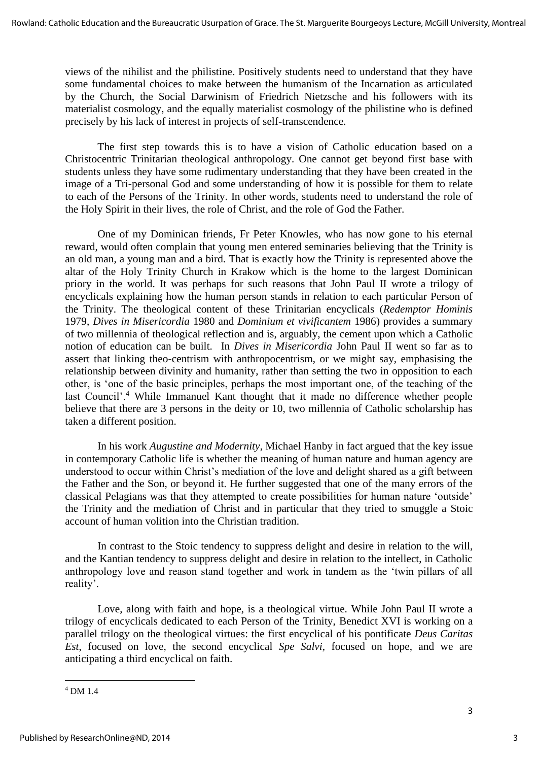views of the nihilist and the philistine. Positively students need to understand that they have some fundamental choices to make between the humanism of the Incarnation as articulated by the Church, the Social Darwinism of Friedrich Nietzsche and his followers with its materialist cosmology, and the equally materialist cosmology of the philistine who is defined precisely by his lack of interest in projects of self-transcendence.

The first step towards this is to have a vision of Catholic education based on a Christocentric Trinitarian theological anthropology. One cannot get beyond first base with students unless they have some rudimentary understanding that they have been created in the image of a Tri-personal God and some understanding of how it is possible for them to relate to each of the Persons of the Trinity. In other words, students need to understand the role of the Holy Spirit in their lives, the role of Christ, and the role of God the Father.

One of my Dominican friends, Fr Peter Knowles, who has now gone to his eternal reward, would often complain that young men entered seminaries believing that the Trinity is an old man, a young man and a bird. That is exactly how the Trinity is represented above the altar of the Holy Trinity Church in Krakow which is the home to the largest Dominican priory in the world. It was perhaps for such reasons that John Paul II wrote a trilogy of encyclicals explaining how the human person stands in relation to each particular Person of the Trinity. The theological content of these Trinitarian encyclicals (*Redemptor Hominis* 1979, *Dives in Misericordia* 1980 and *Dominium et vivificantem* 1986) provides a summary of two millennia of theological reflection and is, arguably, the cement upon which a Catholic notion of education can be built. In *Dives in Misericordia* John Paul II went so far as to assert that linking theo-centrism with anthropocentrism, or we might say, emphasising the relationship between divinity and humanity, rather than setting the two in opposition to each other, is 'one of the basic principles, perhaps the most important one, of the teaching of the last Council'.<sup>4</sup> While Immanuel Kant thought that it made no difference whether people believe that there are 3 persons in the deity or 10, two millennia of Catholic scholarship has taken a different position.

In his work *Augustine and Modernity*, Michael Hanby in fact argued that the key issue in contemporary Catholic life is whether the meaning of human nature and human agency are understood to occur within Christ's mediation of the love and delight shared as a gift between the Father and the Son, or beyond it. He further suggested that one of the many errors of the classical Pelagians was that they attempted to create possibilities for human nature 'outside' the Trinity and the mediation of Christ and in particular that they tried to smuggle a Stoic account of human volition into the Christian tradition.

In contrast to the Stoic tendency to suppress delight and desire in relation to the will, and the Kantian tendency to suppress delight and desire in relation to the intellect, in Catholic anthropology love and reason stand together and work in tandem as the 'twin pillars of all reality'.

Love, along with faith and hope, is a theological virtue. While John Paul II wrote a trilogy of encyclicals dedicated to each Person of the Trinity, Benedict XVI is working on a parallel trilogy on the theological virtues: the first encyclical of his pontificate *Deus Caritas Est*, focused on love, the second encyclical *Spe Salvi*, focused on hope, and we are anticipating a third encyclical on faith.

<sup>4</sup> DM 1.4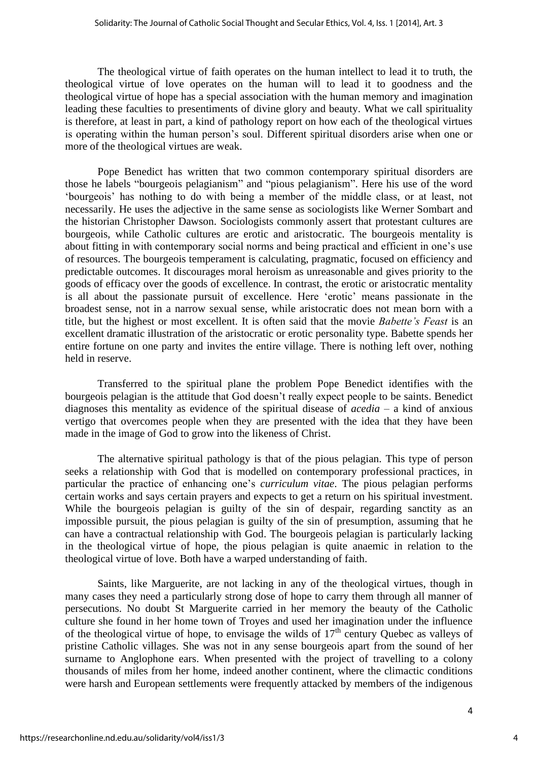The theological virtue of faith operates on the human intellect to lead it to truth, the theological virtue of love operates on the human will to lead it to goodness and the theological virtue of hope has a special association with the human memory and imagination leading these faculties to presentiments of divine glory and beauty. What we call spirituality is therefore, at least in part, a kind of pathology report on how each of the theological virtues is operating within the human person's soul. Different spiritual disorders arise when one or more of the theological virtues are weak.

Pope Benedict has written that two common contemporary spiritual disorders are those he labels "bourgeois pelagianism" and "pious pelagianism". Here his use of the word 'bourgeois' has nothing to do with being a member of the middle class, or at least, not necessarily. He uses the adjective in the same sense as sociologists like Werner Sombart and the historian Christopher Dawson. Sociologists commonly assert that protestant cultures are bourgeois, while Catholic cultures are erotic and aristocratic. The bourgeois mentality is about fitting in with contemporary social norms and being practical and efficient in one's use of resources. The bourgeois temperament is calculating, pragmatic, focused on efficiency and predictable outcomes. It discourages moral heroism as unreasonable and gives priority to the goods of efficacy over the goods of excellence. In contrast, the erotic or aristocratic mentality is all about the passionate pursuit of excellence. Here 'erotic' means passionate in the broadest sense, not in a narrow sexual sense, while aristocratic does not mean born with a title, but the highest or most excellent. It is often said that the movie *Babette's Feast* is an excellent dramatic illustration of the aristocratic or erotic personality type. Babette spends her entire fortune on one party and invites the entire village. There is nothing left over, nothing held in reserve.

Transferred to the spiritual plane the problem Pope Benedict identifies with the bourgeois pelagian is the attitude that God doesn't really expect people to be saints. Benedict diagnoses this mentality as evidence of the spiritual disease of *acedia* – a kind of anxious vertigo that overcomes people when they are presented with the idea that they have been made in the image of God to grow into the likeness of Christ.

The alternative spiritual pathology is that of the pious pelagian. This type of person seeks a relationship with God that is modelled on contemporary professional practices, in particular the practice of enhancing one's *curriculum vitae*. The pious pelagian performs certain works and says certain prayers and expects to get a return on his spiritual investment. While the bourgeois pelagian is guilty of the sin of despair, regarding sanctity as an impossible pursuit, the pious pelagian is guilty of the sin of presumption, assuming that he can have a contractual relationship with God. The bourgeois pelagian is particularly lacking in the theological virtue of hope, the pious pelagian is quite anaemic in relation to the theological virtue of love. Both have a warped understanding of faith.

Saints, like Marguerite, are not lacking in any of the theological virtues, though in many cases they need a particularly strong dose of hope to carry them through all manner of persecutions. No doubt St Marguerite carried in her memory the beauty of the Catholic culture she found in her home town of Troyes and used her imagination under the influence of the theological virtue of hope, to envisage the wilds of  $17<sup>th</sup>$  century Quebec as valleys of pristine Catholic villages. She was not in any sense bourgeois apart from the sound of her surname to Anglophone ears. When presented with the project of travelling to a colony thousands of miles from her home, indeed another continent, where the climactic conditions were harsh and European settlements were frequently attacked by members of the indigenous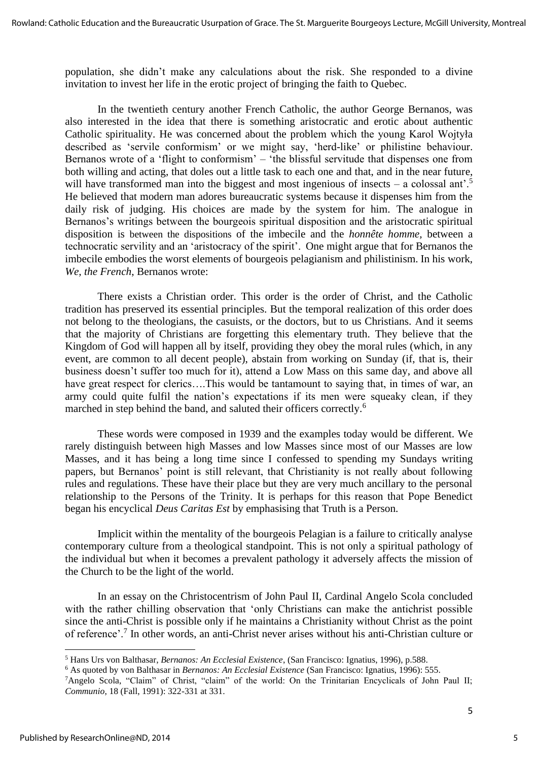population, she didn't make any calculations about the risk. She responded to a divine invitation to invest her life in the erotic project of bringing the faith to Quebec.

In the twentieth century another French Catholic, the author George Bernanos, was also interested in the idea that there is something aristocratic and erotic about authentic Catholic spirituality. He was concerned about the problem which the young Karol Wojtyła described as 'servile conformism' or we might say, 'herd-like' or philistine behaviour. Bernanos wrote of a 'flight to conformism' – 'the blissful servitude that dispenses one from both willing and acting, that doles out a little task to each one and that, and in the near future, will have transformed man into the biggest and most ingenious of insects – a colossal ant'.<sup>5</sup> He believed that modern man adores bureaucratic systems because it dispenses him from the daily risk of judging. His choices are made by the system for him. The analogue in Bernanos's writings between the bourgeois spiritual disposition and the aristocratic spiritual disposition is between the dispositions of the imbecile and the *honnête homme,* between a technocratic servility and an 'aristocracy of the spirit'. One might argue that for Bernanos the imbecile embodies the worst elements of bourgeois pelagianism and philistinism. In his work, *We, the French*, Bernanos wrote:

There exists a Christian order. This order is the order of Christ, and the Catholic tradition has preserved its essential principles. But the temporal realization of this order does not belong to the theologians, the casuists, or the doctors, but to us Christians. And it seems that the majority of Christians are forgetting this elementary truth. They believe that the Kingdom of God will happen all by itself, providing they obey the moral rules (which, in any event, are common to all decent people), abstain from working on Sunday (if, that is, their business doesn't suffer too much for it), attend a Low Mass on this same day, and above all have great respect for clerics....This would be tantamount to saying that, in times of war, an army could quite fulfil the nation's expectations if its men were squeaky clean, if they marched in step behind the band, and saluted their officers correctly.<sup>6</sup>

These words were composed in 1939 and the examples today would be different. We rarely distinguish between high Masses and low Masses since most of our Masses are low Masses, and it has being a long time since I confessed to spending my Sundays writing papers, but Bernanos' point is still relevant, that Christianity is not really about following rules and regulations. These have their place but they are very much ancillary to the personal relationship to the Persons of the Trinity. It is perhaps for this reason that Pope Benedict began his encyclical *Deus Caritas Est* by emphasising that Truth is a Person.

Implicit within the mentality of the bourgeois Pelagian is a failure to critically analyse contemporary culture from a theological standpoint. This is not only a spiritual pathology of the individual but when it becomes a prevalent pathology it adversely affects the mission of the Church to be the light of the world.

In an essay on the Christocentrism of John Paul II, Cardinal Angelo Scola concluded with the rather chilling observation that 'only Christians can make the antichrist possible since the anti-Christ is possible only if he maintains a Christianity without Christ as the point of reference'.<sup>7</sup> In other words, an anti-Christ never arises without his anti-Christian culture or

<sup>5</sup> Hans Urs von Balthasar, *Bernanos: An Ecclesial Existence*, (San Francisco: Ignatius, 1996), p.588.

<sup>6</sup> As quoted by von Balthasar in *Bernanos: An Ecclesial Existence* (San Francisco: Ignatius, 1996): 555.

<sup>&</sup>lt;sup>7</sup>Angelo Scola, "Claim" of Christ, "claim" of the world: On the Trinitarian Encyclicals of John Paul II; *Communio*, 18 (Fall, 1991): 322-331 at 331.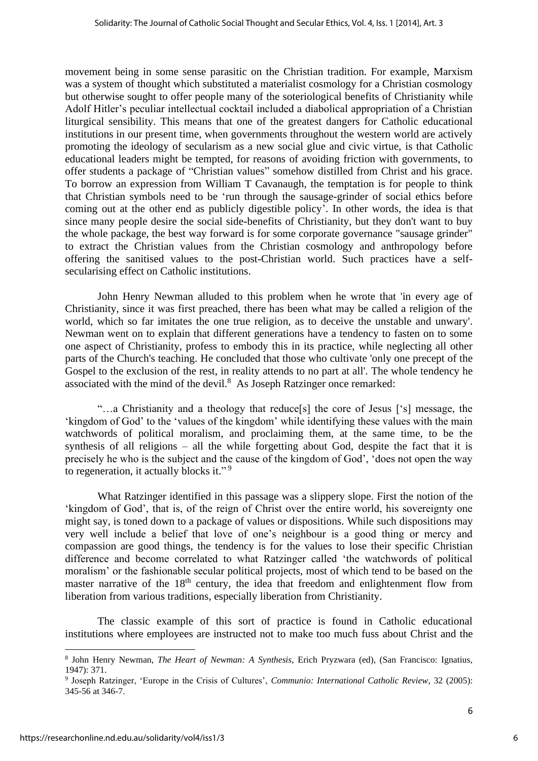movement being in some sense parasitic on the Christian tradition. For example, Marxism was a system of thought which substituted a materialist cosmology for a Christian cosmology but otherwise sought to offer people many of the soteriological benefits of Christianity while Adolf Hitler's peculiar intellectual cocktail included a diabolical appropriation of a Christian liturgical sensibility. This means that one of the greatest dangers for Catholic educational institutions in our present time, when governments throughout the western world are actively promoting the ideology of secularism as a new social glue and civic virtue, is that Catholic educational leaders might be tempted, for reasons of avoiding friction with governments, to offer students a package of "Christian values" somehow distilled from Christ and his grace. To borrow an expression from William T Cavanaugh, the temptation is for people to think that Christian symbols need to be 'run through the sausage-grinder of social ethics before coming out at the other end as publicly digestible policy'. In other words, the idea is that since many people desire the social side-benefits of Christianity, but they don't want to buy the whole package, the best way forward is for some corporate governance "sausage grinder" to extract the Christian values from the Christian cosmology and anthropology before offering the sanitised values to the post-Christian world. Such practices have a selfsecularising effect on Catholic institutions.

John Henry Newman alluded to this problem when he wrote that 'in every age of Christianity, since it was first preached, there has been what may be called a religion of the world, which so far imitates the one true religion, as to deceive the unstable and unwary'. Newman went on to explain that different generations have a tendency to fasten on to some one aspect of Christianity, profess to embody this in its practice, while neglecting all other parts of the Church's teaching. He concluded that those who cultivate 'only one precept of the Gospel to the exclusion of the rest, in reality attends to no part at all'. The whole tendency he associated with the mind of the devil. $8$  As Joseph Ratzinger once remarked:

"…a Christianity and a theology that reduce[s] the core of Jesus ['s] message, the 'kingdom of God' to the 'values of the kingdom' while identifying these values with the main watchwords of political moralism, and proclaiming them, at the same time, to be the synthesis of all religions – all the while forgetting about God, despite the fact that it is precisely he who is the subject and the cause of the kingdom of God', 'does not open the way to regeneration, it actually blocks it."<sup>9</sup>

What Ratzinger identified in this passage was a slippery slope. First the notion of the 'kingdom of God', that is, of the reign of Christ over the entire world, his sovereignty one might say, is toned down to a package of values or dispositions. While such dispositions may very well include a belief that love of one's neighbour is a good thing or mercy and compassion are good things, the tendency is for the values to lose their specific Christian difference and become correlated to what Ratzinger called 'the watchwords of political moralism' or the fashionable secular political projects, most of which tend to be based on the master narrative of the  $18<sup>th</sup>$  century, the idea that freedom and enlightenment flow from liberation from various traditions, especially liberation from Christianity.

The classic example of this sort of practice is found in Catholic educational institutions where employees are instructed not to make too much fuss about Christ and the

6

<sup>8</sup> John Henry Newman, *The Heart of Newman: A Synthesis*, Erich Pryzwara (ed), (San Francisco: Ignatius, 1947): 371.

<sup>9</sup> Joseph Ratzinger, 'Europe in the Crisis of Cultures', *Communio: International Catholic Review*, 32 (2005): 345-56 at 346-7.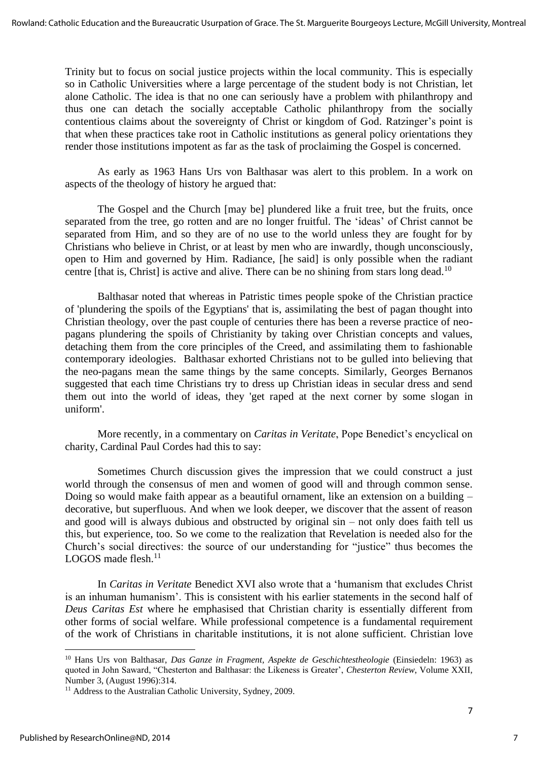Trinity but to focus on social justice projects within the local community. This is especially so in Catholic Universities where a large percentage of the student body is not Christian, let alone Catholic. The idea is that no one can seriously have a problem with philanthropy and thus one can detach the socially acceptable Catholic philanthropy from the socially contentious claims about the sovereignty of Christ or kingdom of God. Ratzinger's point is that when these practices take root in Catholic institutions as general policy orientations they render those institutions impotent as far as the task of proclaiming the Gospel is concerned.

As early as 1963 Hans Urs von Balthasar was alert to this problem. In a work on aspects of the theology of history he argued that:

The Gospel and the Church [may be] plundered like a fruit tree, but the fruits, once separated from the tree, go rotten and are no longer fruitful. The 'ideas' of Christ cannot be separated from Him, and so they are of no use to the world unless they are fought for by Christians who believe in Christ, or at least by men who are inwardly, though unconsciously, open to Him and governed by Him. Radiance, [he said] is only possible when the radiant centre [that is, Christ] is active and alive. There can be no shining from stars long dead.<sup>10</sup>

Balthasar noted that whereas in Patristic times people spoke of the Christian practice of 'plundering the spoils of the Egyptians' that is, assimilating the best of pagan thought into Christian theology, over the past couple of centuries there has been a reverse practice of neopagans plundering the spoils of Christianity by taking over Christian concepts and values, detaching them from the core principles of the Creed, and assimilating them to fashionable contemporary ideologies. Balthasar exhorted Christians not to be gulled into believing that the neo-pagans mean the same things by the same concepts. Similarly, Georges Bernanos suggested that each time Christians try to dress up Christian ideas in secular dress and send them out into the world of ideas, they 'get raped at the next corner by some slogan in uniform'.

More recently, in a commentary on *Caritas in Veritate*, Pope Benedict's encyclical on charity, Cardinal Paul Cordes had this to say:

Sometimes Church discussion gives the impression that we could construct a just world through the consensus of men and women of good will and through common sense. Doing so would make faith appear as a beautiful ornament, like an extension on a building – decorative, but superfluous. And when we look deeper, we discover that the assent of reason and good will is always dubious and obstructed by original sin – not only does faith tell us this, but experience, too. So we come to the realization that Revelation is needed also for the Church's social directives: the source of our understanding for "justice" thus becomes the LOGOS made flesh.<sup>11</sup>

In *Caritas in Veritate* Benedict XVI also wrote that a 'humanism that excludes Christ is an inhuman humanism'. This is consistent with his earlier statements in the second half of *Deus Caritas Est* where he emphasised that Christian charity is essentially different from other forms of social welfare. While professional competence is a fundamental requirement of the work of Christians in charitable institutions, it is not alone sufficient. Christian love

<sup>10</sup> Hans Urs von Balthasar, *Das Ganze in Fragment, Aspekte de Geschichtestheologie* (Einsiedeln: 1963) as quoted in John Saward, "Chesterton and Balthasar: the Likeness is Greater', *Chesterton Review*, Volume XXII, Number 3, (August 1996):314.

<sup>&</sup>lt;sup>11</sup> Address to the Australian Catholic University, Sydney, 2009.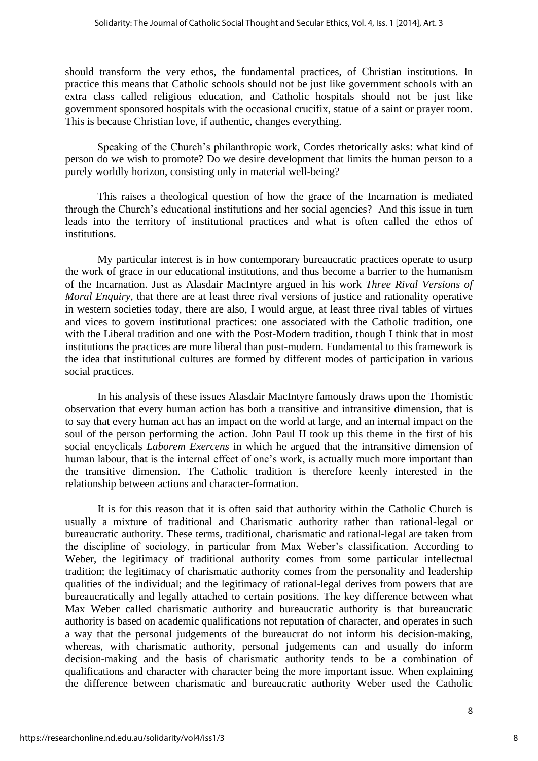should transform the very ethos, the fundamental practices, of Christian institutions. In practice this means that Catholic schools should not be just like government schools with an extra class called religious education, and Catholic hospitals should not be just like government sponsored hospitals with the occasional crucifix, statue of a saint or prayer room. This is because Christian love, if authentic, changes everything.

Speaking of the Church's philanthropic work, Cordes rhetorically asks: what kind of person do we wish to promote? Do we desire development that limits the human person to a purely worldly horizon, consisting only in material well-being?

This raises a theological question of how the grace of the Incarnation is mediated through the Church's educational institutions and her social agencies? And this issue in turn leads into the territory of institutional practices and what is often called the ethos of institutions.

My particular interest is in how contemporary bureaucratic practices operate to usurp the work of grace in our educational institutions, and thus become a barrier to the humanism of the Incarnation. Just as Alasdair MacIntyre argued in his work *Three Rival Versions of Moral Enquiry*, that there are at least three rival versions of justice and rationality operative in western societies today, there are also, I would argue, at least three rival tables of virtues and vices to govern institutional practices: one associated with the Catholic tradition, one with the Liberal tradition and one with the Post-Modern tradition, though I think that in most institutions the practices are more liberal than post-modern. Fundamental to this framework is the idea that institutional cultures are formed by different modes of participation in various social practices.

In his analysis of these issues Alasdair MacIntyre famously draws upon the Thomistic observation that every human action has both a transitive and intransitive dimension, that is to say that every human act has an impact on the world at large, and an internal impact on the soul of the person performing the action. John Paul II took up this theme in the first of his social encyclicals *Laborem Exercens* in which he argued that the intransitive dimension of human labour, that is the internal effect of one's work, is actually much more important than the transitive dimension. The Catholic tradition is therefore keenly interested in the relationship between actions and character-formation.

It is for this reason that it is often said that authority within the Catholic Church is usually a mixture of traditional and Charismatic authority rather than rational-legal or bureaucratic authority. These terms, traditional, charismatic and rational-legal are taken from the discipline of sociology, in particular from Max Weber's classification. According to Weber, the legitimacy of traditional authority comes from some particular intellectual tradition; the legitimacy of charismatic authority comes from the personality and leadership qualities of the individual; and the legitimacy of rational-legal derives from powers that are [bureaucratically](http://en.wikipedia.org/wiki/Bureaucracy) and legally attached to certain positions. The key difference between what Max Weber called charismatic authority and bureaucratic authority is that bureaucratic authority is based on academic qualifications not reputation of character, and operates in such a way that the personal judgements of the bureaucrat do not inform his decision-making, whereas, with charismatic authority, personal judgements can and usually do inform decision-making and the basis of charismatic authority tends to be a combination of qualifications and character with character being the more important issue. When explaining the difference between charismatic and bureaucratic authority Weber used the Catholic

8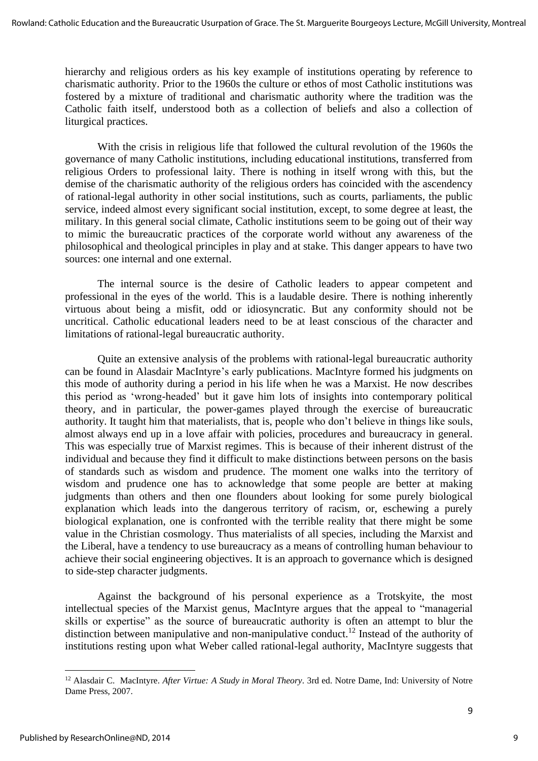hierarchy and religious orders as his key example of institutions operating by reference to charismatic authority. Prior to the 1960s the culture or ethos of most Catholic institutions was fostered by a mixture of traditional and charismatic authority where the tradition was the Catholic faith itself, understood both as a collection of beliefs and also a collection of liturgical practices.

With the crisis in religious life that followed the cultural revolution of the 1960s the governance of many Catholic institutions, including educational institutions, transferred from religious Orders to professional laity. There is nothing in itself wrong with this, but the demise of the charismatic authority of the religious orders has coincided with the ascendency of rational-legal authority in other social institutions, such as courts, parliaments, the public service, indeed almost every significant social institution, except, to some degree at least, the military. In this general social climate, Catholic institutions seem to be going out of their way to mimic the bureaucratic practices of the corporate world without any awareness of the philosophical and theological principles in play and at stake. This danger appears to have two sources: one internal and one external.

The internal source is the desire of Catholic leaders to appear competent and professional in the eyes of the world. This is a laudable desire. There is nothing inherently virtuous about being a misfit, odd or idiosyncratic. But any conformity should not be uncritical. Catholic educational leaders need to be at least conscious of the character and limitations of rational-legal bureaucratic authority.

Quite an extensive analysis of the problems with rational-legal bureaucratic authority can be found in Alasdair MacIntyre's early publications. MacIntyre formed his judgments on this mode of authority during a period in his life when he was a Marxist. He now describes this period as 'wrong-headed' but it gave him lots of insights into contemporary political theory, and in particular, the power-games played through the exercise of bureaucratic authority. It taught him that materialists, that is, people who don't believe in things like souls, almost always end up in a love affair with policies, procedures and bureaucracy in general. This was especially true of Marxist regimes. This is because of their inherent distrust of the individual and because they find it difficult to make distinctions between persons on the basis of standards such as wisdom and prudence. The moment one walks into the territory of wisdom and prudence one has to acknowledge that some people are better at making judgments than others and then one flounders about looking for some purely biological explanation which leads into the dangerous territory of racism, or, eschewing a purely biological explanation, one is confronted with the terrible reality that there might be some value in the Christian cosmology. Thus materialists of all species, including the Marxist and the Liberal, have a tendency to use bureaucracy as a means of controlling human behaviour to achieve their social engineering objectives. It is an approach to governance which is designed to side-step character judgments.

Against the background of his personal experience as a Trotskyite, the most intellectual species of the Marxist genus, MacIntyre argues that the appeal to "managerial skills or expertise" as the source of bureaucratic authority is often an attempt to blur the distinction between manipulative and non-manipulative conduct.<sup>12</sup> Instead of the authority of institutions resting upon what Weber called rational-legal authority, MacIntyre suggests that

<sup>12</sup> Alasdair C. MacIntyre. *After Virtue: A Study in Moral Theory*. 3rd ed. Notre Dame, Ind: University of Notre Dame Press, 2007.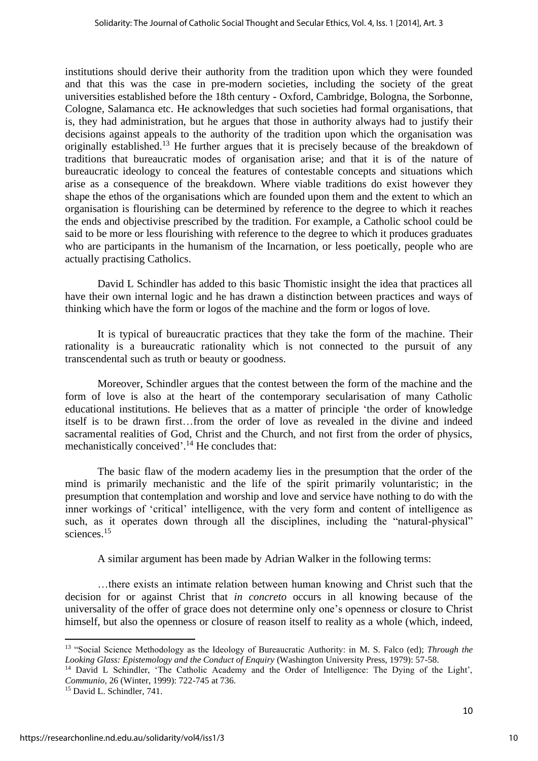institutions should derive their authority from the tradition upon which they were founded and that this was the case in pre-modern societies, including the society of the great universities established before the 18th century - Oxford, Cambridge, Bologna, the Sorbonne, Cologne, Salamanca etc. He acknowledges that such societies had formal organisations, that is, they had administration, but he argues that those in authority always had to justify their decisions against appeals to the authority of the tradition upon which the organisation was originally established.<sup>13</sup> He further argues that it is precisely because of the breakdown of traditions that bureaucratic modes of organisation arise; and that it is of the nature of bureaucratic ideology to conceal the features of contestable concepts and situations which arise as a consequence of the breakdown. Where viable traditions do exist however they shape the ethos of the organisations which are founded upon them and the extent to which an organisation is flourishing can be determined by reference to the degree to which it reaches the ends and objectivise prescribed by the tradition. For example, a Catholic school could be said to be more or less flourishing with reference to the degree to which it produces graduates who are participants in the humanism of the Incarnation, or less poetically, people who are actually practising Catholics.

David L Schindler has added to this basic Thomistic insight the idea that practices all have their own internal logic and he has drawn a distinction between practices and ways of thinking which have the form or logos of the machine and the form or logos of love.

It is typical of bureaucratic practices that they take the form of the machine. Their rationality is a bureaucratic rationality which is not connected to the pursuit of any transcendental such as truth or beauty or goodness.

Moreover, Schindler argues that the contest between the form of the machine and the form of love is also at the heart of the contemporary secularisation of many Catholic educational institutions. He believes that as a matter of principle 'the order of knowledge itself is to be drawn first…from the order of love as revealed in the divine and indeed sacramental realities of God, Christ and the Church, and not first from the order of physics, mechanistically conceived'.<sup>14</sup> He concludes that:

The basic flaw of the modern academy lies in the presumption that the order of the mind is primarily mechanistic and the life of the spirit primarily voluntaristic; in the presumption that contemplation and worship and love and service have nothing to do with the inner workings of 'critical' intelligence, with the very form and content of intelligence as such, as it operates down through all the disciplines, including the "natural-physical" sciences.<sup>15</sup>

A similar argument has been made by Adrian Walker in the following terms:

…there exists an intimate relation between human knowing and Christ such that the decision for or against Christ that *in concreto* occurs in all knowing because of the universality of the offer of grace does not determine only one's openness or closure to Christ himself, but also the openness or closure of reason itself to reality as a whole (which, indeed,

<sup>13</sup> "Social Science Methodology as the Ideology of Bureaucratic Authority: in M. S. Falco (ed); *Through the Looking Glass: Epistemology and the Conduct of Enquiry* (Washington University Press, 1979): 57-58.

<sup>&</sup>lt;sup>14</sup> David L Schindler, 'The Catholic Academy and the Order of Intelligence: The Dying of the Light', *Communio*, 26 (Winter, 1999): 722-745 at 736.

<sup>15</sup> David L. Schindler, 741.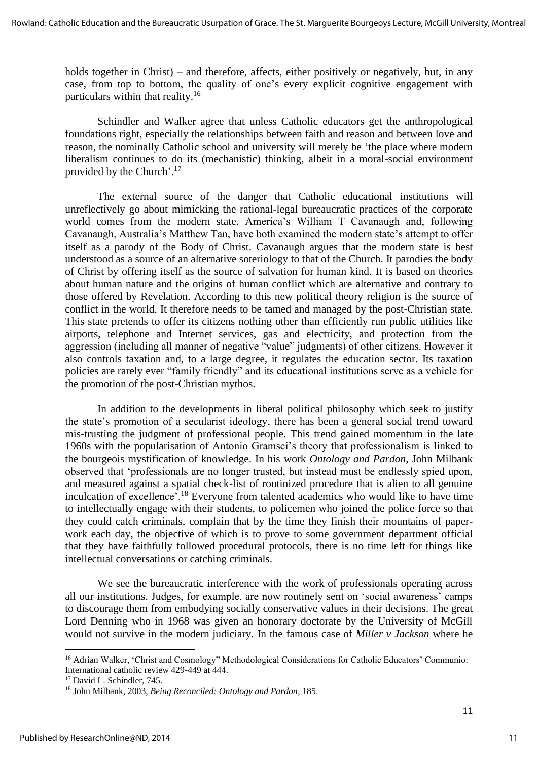holds together in Christ) – and therefore, affects, either positively or negatively, but, in any case, from top to bottom, the quality of one's every explicit cognitive engagement with particulars within that reality.<sup>16</sup>

Schindler and Walker agree that unless Catholic educators get the anthropological foundations right, especially the relationships between faith and reason and between love and reason, the nominally Catholic school and university will merely be 'the place where modern liberalism continues to do its (mechanistic) thinking, albeit in a moral-social environment provided by the Church'.<sup>17</sup>

The external source of the danger that Catholic educational institutions will unreflectively go about mimicking the rational-legal bureaucratic practices of the corporate world comes from the modern state. America's William T Cavanaugh and, following Cavanaugh, Australia's Matthew Tan, have both examined the modern state's attempt to offer itself as a parody of the Body of Christ. Cavanaugh argues that the modern state is best understood as a source of an alternative soteriology to that of the Church. It parodies the body of Christ by offering itself as the source of salvation for human kind. It is based on theories about human nature and the origins of human conflict which are alternative and contrary to those offered by Revelation. According to this new political theory religion is the source of conflict in the world. It therefore needs to be tamed and managed by the post-Christian state. This state pretends to offer its citizens nothing other than efficiently run public utilities like airports, telephone and Internet services, gas and electricity, and protection from the aggression (including all manner of negative "value" judgments) of other citizens. However it also controls taxation and, to a large degree, it regulates the education sector. Its taxation policies are rarely ever "family friendly" and its educational institutions serve as a vehicle for the promotion of the post-Christian mythos.

In addition to the developments in liberal political philosophy which seek to justify the state's promotion of a secularist ideology, there has been a general social trend toward mis-trusting the judgment of professional people. This trend gained momentum in the late 1960s with the popularisation of Antonio Gramsci's theory that professionalism is linked to the bourgeois mystification of knowledge. In his work *Ontology and Pardon*, John Milbank observed that 'professionals are no longer trusted, but instead must be endlessly spied upon, and measured against a spatial check-list of routinized procedure that is alien to all genuine inculcation of excellence'.<sup>18</sup> Everyone from talented academics who would like to have time to intellectually engage with their students, to policemen who joined the police force so that they could catch criminals, complain that by the time they finish their mountains of paperwork each day, the objective of which is to prove to some government department official that they have faithfully followed procedural protocols, there is no time left for things like intellectual conversations or catching criminals.

We see the bureaucratic interference with the work of professionals operating across all our institutions. Judges, for example, are now routinely sent on 'social awareness' camps to discourage them from embodying socially conservative values in their decisions. The great Lord Denning who in 1968 was given an honorary doctorate by the University of McGill would not survive in the modern judiciary. In the famous case of *Miller v Jackson* where he

<sup>16</sup> Adrian Walker, 'Christ and Cosmology" Methodological Considerations for Catholic Educators' Communio: International catholic review 429-449 at 444.

<sup>&</sup>lt;sup>17</sup> David L. Schindler, 745.

<sup>18</sup> John Milbank, 2003, *Being Reconciled: Ontology and Pardon*, 185.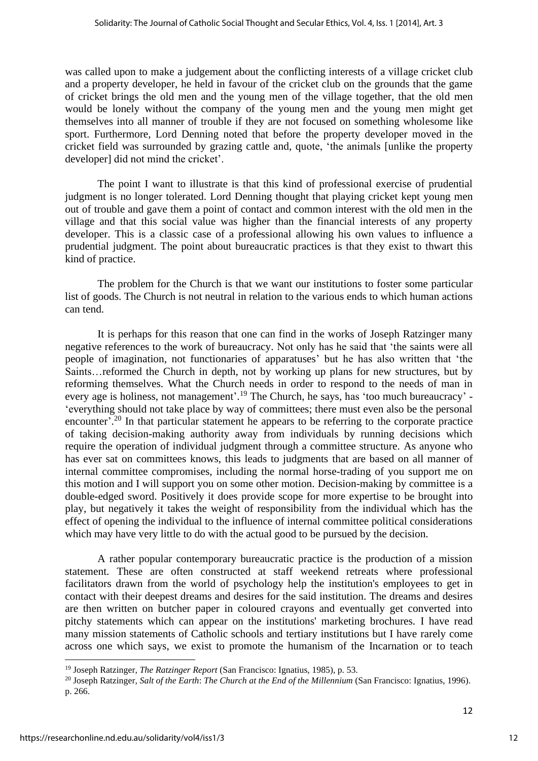was called upon to make a judgement about the conflicting interests of a village cricket club and a property developer, he held in favour of the cricket club on the grounds that the game of cricket brings the old men and the young men of the village together, that the old men would be lonely without the company of the young men and the young men might get themselves into all manner of trouble if they are not focused on something wholesome like sport. Furthermore, Lord Denning noted that before the property developer moved in the cricket field was surrounded by grazing cattle and, quote, 'the animals [unlike the property developer] did not mind the cricket'.

The point I want to illustrate is that this kind of professional exercise of prudential judgment is no longer tolerated. Lord Denning thought that playing cricket kept young men out of trouble and gave them a point of contact and common interest with the old men in the village and that this social value was higher than the financial interests of any property developer. This is a classic case of a professional allowing his own values to influence a prudential judgment. The point about bureaucratic practices is that they exist to thwart this kind of practice.

The problem for the Church is that we want our institutions to foster some particular list of goods. The Church is not neutral in relation to the various ends to which human actions can tend.

It is perhaps for this reason that one can find in the works of Joseph Ratzinger many negative references to the work of bureaucracy. Not only has he said that 'the saints were all people of imagination, not functionaries of apparatuses' but he has also written that 'the Saints…reformed the Church in depth, not by working up plans for new structures, but by reforming themselves. What the Church needs in order to respond to the needs of man in every age is holiness, not management'.<sup>19</sup> The Church, he says, has 'too much bureaucracy' -'everything should not take place by way of committees; there must even also be the personal encounter'.<sup>20</sup> In that particular statement he appears to be referring to the corporate practice of taking decision-making authority away from individuals by running decisions which require the operation of individual judgment through a committee structure. As anyone who has ever sat on committees knows, this leads to judgments that are based on all manner of internal committee compromises, including the normal horse-trading of you support me on this motion and I will support you on some other motion. Decision-making by committee is a double-edged sword. Positively it does provide scope for more expertise to be brought into play, but negatively it takes the weight of responsibility from the individual which has the effect of opening the individual to the influence of internal committee political considerations which may have very little to do with the actual good to be pursued by the decision.

A rather popular contemporary bureaucratic practice is the production of a mission statement. These are often constructed at staff weekend retreats where professional facilitators drawn from the world of psychology help the institution's employees to get in contact with their deepest dreams and desires for the said institution. The dreams and desires are then written on butcher paper in coloured crayons and eventually get converted into pitchy statements which can appear on the institutions' marketing brochures. I have read many mission statements of Catholic schools and tertiary institutions but I have rarely come across one which says, we exist to promote the humanism of the Incarnation or to teach

<sup>19</sup> Joseph Ratzinger, *The Ratzinger Report* (San Francisco: Ignatius, 1985), p. 53.

<sup>20</sup> Joseph Ratzinger, *Salt of the Earth*: *The Church at the End of the Millennium* (San Francisco: Ignatius, 1996). p. 266.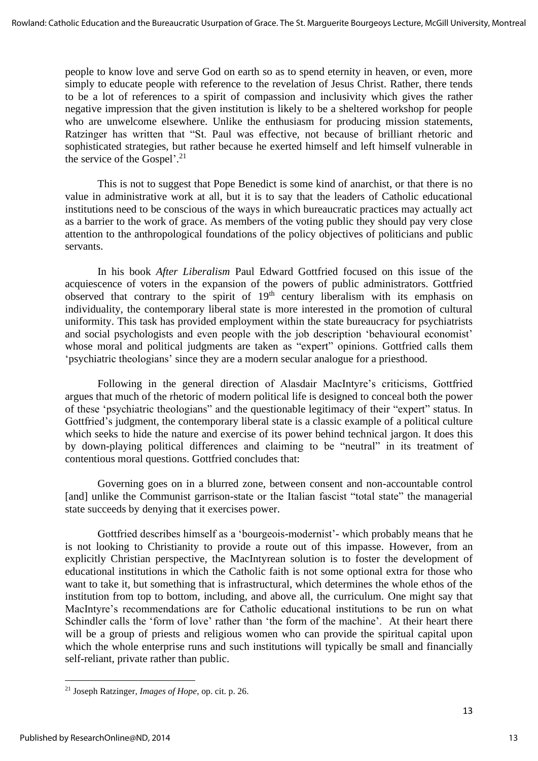people to know love and serve God on earth so as to spend eternity in heaven, or even, more simply to educate people with reference to the revelation of Jesus Christ. Rather, there tends to be a lot of references to a spirit of compassion and inclusivity which gives the rather negative impression that the given institution is likely to be a sheltered workshop for people who are unwelcome elsewhere. Unlike the enthusiasm for producing mission statements, Ratzinger has written that "St. Paul was effective, not because of brilliant rhetoric and sophisticated strategies, but rather because he exerted himself and left himself vulnerable in the service of the Gospel'.<sup>21</sup>

This is not to suggest that Pope Benedict is some kind of anarchist, or that there is no value in administrative work at all, but it is to say that the leaders of Catholic educational institutions need to be conscious of the ways in which bureaucratic practices may actually act as a barrier to the work of grace. As members of the voting public they should pay very close attention to the anthropological foundations of the policy objectives of politicians and public servants.

In his book *After Liberalism* Paul Edward Gottfried focused on this issue of the acquiescence of voters in the expansion of the powers of public administrators. Gottfried observed that contrary to the spirit of 19<sup>th</sup> century liberalism with its emphasis on individuality, the contemporary liberal state is more interested in the promotion of cultural uniformity. This task has provided employment within the state bureaucracy for psychiatrists and social psychologists and even people with the job description 'behavioural economist' whose moral and political judgments are taken as "expert" opinions. Gottfried calls them 'psychiatric theologians' since they are a modern secular analogue for a priesthood.

Following in the general direction of Alasdair MacIntyre's criticisms, Gottfried argues that much of the rhetoric of modern political life is designed to conceal both the power of these 'psychiatric theologians" and the questionable legitimacy of their "expert" status. In Gottfried's judgment, the contemporary liberal state is a classic example of a political culture which seeks to hide the nature and exercise of its power behind technical jargon. It does this by down-playing political differences and claiming to be "neutral" in its treatment of contentious moral questions. Gottfried concludes that:

Governing goes on in a blurred zone, between consent and non-accountable control [and] unlike the Communist garrison-state or the Italian fascist "total state" the managerial state succeeds by denying that it exercises power.

Gottfried describes himself as a 'bourgeois-modernist'- which probably means that he is not looking to Christianity to provide a route out of this impasse. However, from an explicitly Christian perspective, the MacIntyrean solution is to foster the development of educational institutions in which the Catholic faith is not some optional extra for those who want to take it, but something that is infrastructural, which determines the whole ethos of the institution from top to bottom, including, and above all, the curriculum. One might say that MacIntyre's recommendations are for Catholic educational institutions to be run on what Schindler calls the 'form of love' rather than 'the form of the machine'. At their heart there will be a group of priests and religious women who can provide the spiritual capital upon which the whole enterprise runs and such institutions will typically be small and financially self-reliant, private rather than public.

<sup>21</sup> Joseph Ratzinger, *Images of Hope*, op. cit. p. 26.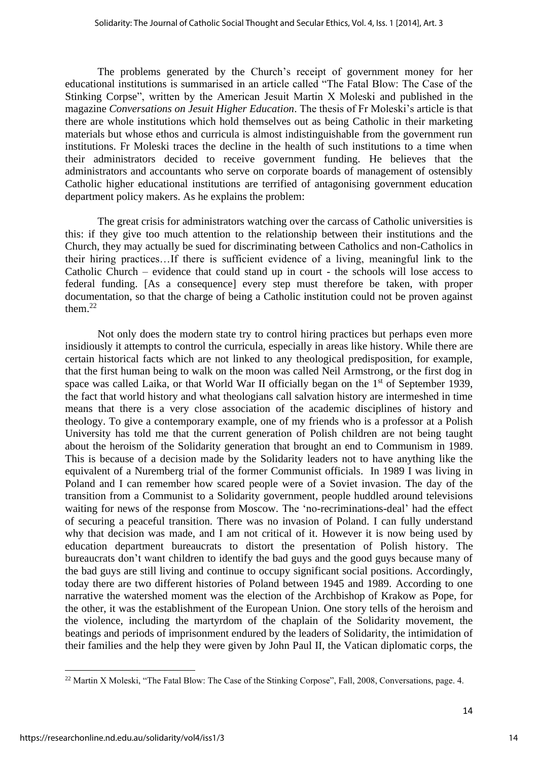The problems generated by the Church's receipt of government money for her educational institutions is summarised in an article called "The Fatal Blow: The Case of the Stinking Corpse", written by the American Jesuit Martin X Moleski and published in the magazine *Conversations on Jesuit Higher Education*. The thesis of Fr Moleski's article is that there are whole institutions which hold themselves out as being Catholic in their marketing materials but whose ethos and curricula is almost indistinguishable from the government run institutions. Fr Moleski traces the decline in the health of such institutions to a time when their administrators decided to receive government funding. He believes that the administrators and accountants who serve on corporate boards of management of ostensibly Catholic higher educational institutions are terrified of antagonising government education department policy makers. As he explains the problem:

The great crisis for administrators watching over the carcass of Catholic universities is this: if they give too much attention to the relationship between their institutions and the Church, they may actually be sued for discriminating between Catholics and non-Catholics in their hiring practices…If there is sufficient evidence of a living, meaningful link to the Catholic Church – evidence that could stand up in court - the schools will lose access to federal funding. [As a consequence] every step must therefore be taken, with proper documentation, so that the charge of being a Catholic institution could not be proven against them. $22$ 

Not only does the modern state try to control hiring practices but perhaps even more insidiously it attempts to control the curricula, especially in areas like history. While there are certain historical facts which are not linked to any theological predisposition, for example, that the first human being to walk on the moon was called Neil Armstrong, or the first dog in space was called Laika, or that World War II officially began on the  $1<sup>st</sup>$  of September 1939, the fact that world history and what theologians call salvation history are intermeshed in time means that there is a very close association of the academic disciplines of history and theology. To give a contemporary example, one of my friends who is a professor at a Polish University has told me that the current generation of Polish children are not being taught about the heroism of the Solidarity generation that brought an end to Communism in 1989. This is because of a decision made by the Solidarity leaders not to have anything like the equivalent of a Nuremberg trial of the former Communist officials. In 1989 I was living in Poland and I can remember how scared people were of a Soviet invasion. The day of the transition from a Communist to a Solidarity government, people huddled around televisions waiting for news of the response from Moscow. The 'no-recriminations-deal' had the effect of securing a peaceful transition. There was no invasion of Poland. I can fully understand why that decision was made, and I am not critical of it. However it is now being used by education department bureaucrats to distort the presentation of Polish history. The bureaucrats don't want children to identify the bad guys and the good guys because many of the bad guys are still living and continue to occupy significant social positions. Accordingly, today there are two different histories of Poland between 1945 and 1989. According to one narrative the watershed moment was the election of the Archbishop of Krakow as Pope, for the other, it was the establishment of the European Union. One story tells of the heroism and the violence, including the martyrdom of the chaplain of the Solidarity movement, the beatings and periods of imprisonment endured by the leaders of Solidarity, the intimidation of their families and the help they were given by John Paul II, the Vatican diplomatic corps, the

<sup>&</sup>lt;sup>22</sup> Martin X Moleski, "The Fatal Blow: The Case of the Stinking Corpose", Fall, 2008, Conversations, page. 4.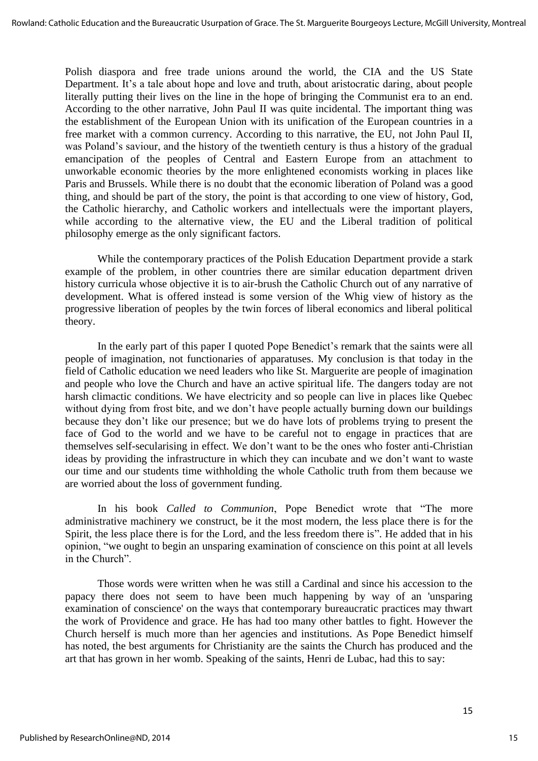Polish diaspora and free trade unions around the world, the CIA and the US State Department. It's a tale about hope and love and truth, about aristocratic daring, about people literally putting their lives on the line in the hope of bringing the Communist era to an end. According to the other narrative, John Paul II was quite incidental. The important thing was the establishment of the European Union with its unification of the European countries in a free market with a common currency. According to this narrative, the EU, not John Paul II, was Poland's saviour, and the history of the twentieth century is thus a history of the gradual emancipation of the peoples of Central and Eastern Europe from an attachment to unworkable economic theories by the more enlightened economists working in places like Paris and Brussels. While there is no doubt that the economic liberation of Poland was a good thing, and should be part of the story, the point is that according to one view of history, God, the Catholic hierarchy, and Catholic workers and intellectuals were the important players, while according to the alternative view, the EU and the Liberal tradition of political philosophy emerge as the only significant factors.

While the contemporary practices of the Polish Education Department provide a stark example of the problem, in other countries there are similar education department driven history curricula whose objective it is to air-brush the Catholic Church out of any narrative of development. What is offered instead is some version of the Whig view of history as the progressive liberation of peoples by the twin forces of liberal economics and liberal political theory.

In the early part of this paper I quoted Pope Benedict's remark that the saints were all people of imagination, not functionaries of apparatuses. My conclusion is that today in the field of Catholic education we need leaders who like St. Marguerite are people of imagination and people who love the Church and have an active spiritual life. The dangers today are not harsh climactic conditions. We have electricity and so people can live in places like Quebec without dying from frost bite, and we don't have people actually burning down our buildings because they don't like our presence; but we do have lots of problems trying to present the face of God to the world and we have to be careful not to engage in practices that are themselves self-secularising in effect. We don't want to be the ones who foster anti-Christian ideas by providing the infrastructure in which they can incubate and we don't want to waste our time and our students time withholding the whole Catholic truth from them because we are worried about the loss of government funding.

In his book *Called to Communion*, Pope Benedict wrote that "The more administrative machinery we construct, be it the most modern, the less place there is for the Spirit, the less place there is for the Lord, and the less freedom there is". He added that in his opinion, "we ought to begin an unsparing examination of conscience on this point at all levels in the Church".

Those words were written when he was still a Cardinal and since his accession to the papacy there does not seem to have been much happening by way of an 'unsparing examination of conscience' on the ways that contemporary bureaucratic practices may thwart the work of Providence and grace. He has had too many other battles to fight. However the Church herself is much more than her agencies and institutions. As Pope Benedict himself has noted, the best arguments for Christianity are the saints the Church has produced and the art that has grown in her womb. Speaking of the saints, Henri de Lubac, had this to say: